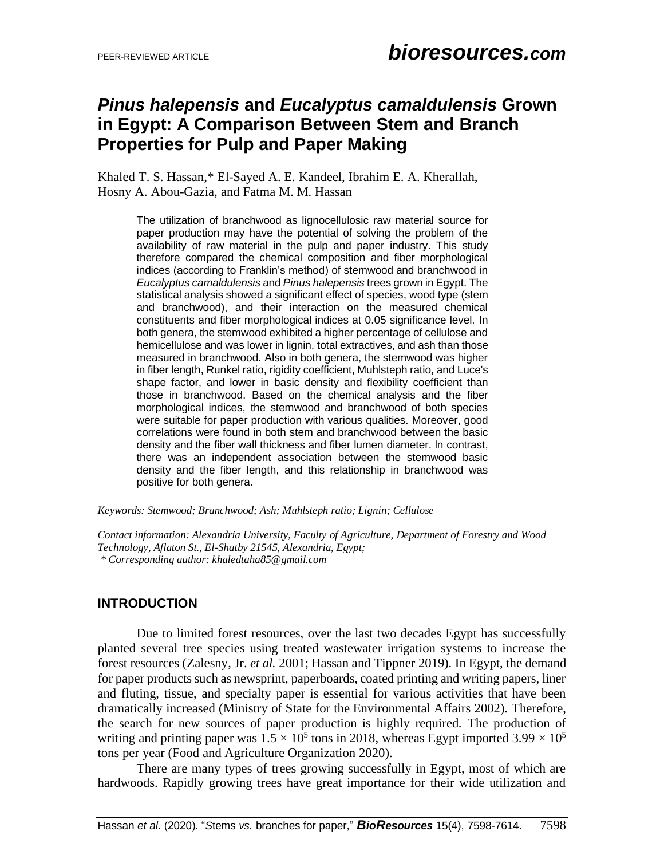# *Pinus halepensis* **and** *Eucalyptus camaldulensis* **Grown in Egypt: A Comparison Between Stem and Branch Properties for Pulp and Paper Making**

Khaled T. S. Hassan,\* El-Sayed A. E. Kandeel, Ibrahim E. A. Kherallah, Hosny A. Abou-Gazia, and Fatma M. M. Hassan

> The utilization of branchwood as lignocellulosic raw material source for paper production may have the potential of solving the problem of the availability of raw material in the pulp and paper industry. This study therefore compared the chemical composition and fiber morphological indices (according to Franklin's method) of stemwood and branchwood in *Eucalyptus camaldulensis* and *Pinus halepensis* trees grown in Egypt. The statistical analysis showed a significant effect of species, wood type (stem and branchwood), and their interaction on the measured chemical constituents and fiber morphological indices at 0.05 significance level. In both genera, the stemwood exhibited a higher percentage of cellulose and hemicellulose and was lower in lignin, total extractives, and ash than those measured in branchwood. Also in both genera, the stemwood was higher in fiber length, Runkel ratio, rigidity coefficient, Muhlsteph ratio, and Luce's shape factor, and lower in basic density and flexibility coefficient than those in branchwood. Based on the chemical analysis and the fiber morphological indices, the stemwood and branchwood of both species were suitable for paper production with various qualities. Moreover, good correlations were found in both stem and branchwood between the basic density and the fiber wall thickness and fiber lumen diameter. ln contrast, there was an independent association between the stemwood basic density and the fiber length, and this relationship in branchwood was positive for both genera.

*Keywords: Stemwood; Branchwood; Ash; Muhlsteph ratio; Lignin; Cellulose* 

*Contact information: Alexandria University, Faculty of Agriculture, Department of Forestry and Wood Technology, Aflaton St., El-Shatby 21545, Alexandria, Egypt; \* Corresponding author: khaledtaha85@gmail.com* 

## **INTRODUCTION**

Due to limited forest resources, over the last two decades Egypt has successfully planted several tree species using treated wastewater irrigation systems to increase the forest resources (Zalesny, Jr. *et al.* 2001; Hassan and Tippner 2019). In Egypt, the demand for paper products such as newsprint, paperboards, coated printing and writing papers, liner and fluting, tissue, and specialty paper is essential for various activities that have been dramatically increased (Ministry of State for the Environmental Affairs 2002). Therefore, the search for new sources of paper production is highly required. The production of writing and printing paper was  $1.5 \times 10^5$  tons in 2018, whereas Egypt imported 3.99  $\times 10^5$ tons per year (Food and Agriculture Organization 2020).

There are many types of trees growing successfully in Egypt, most of which are hardwoods. Rapidly growing trees have great importance for their wide utilization and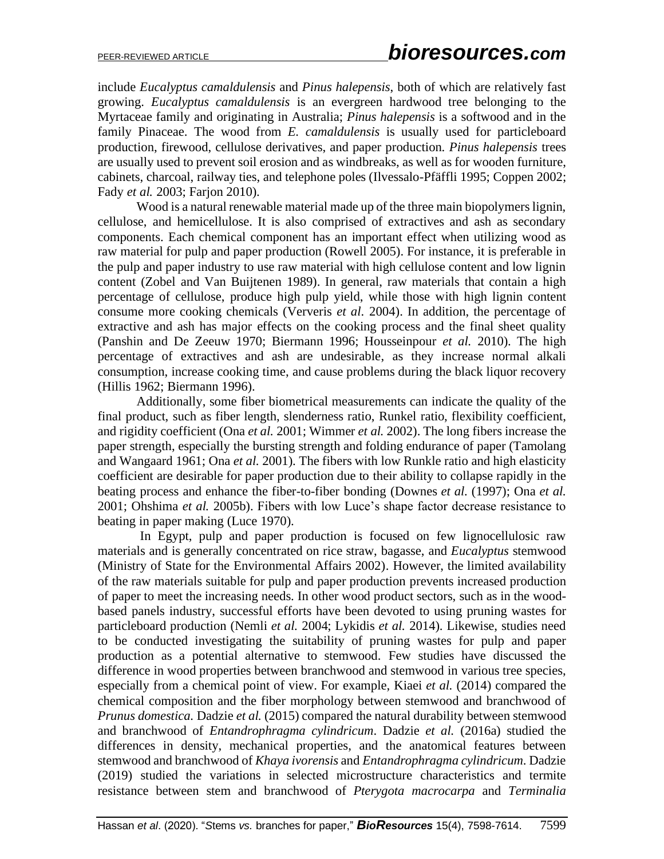include *Eucalyptus camaldulensis* and *Pinus halepensis*, both of which are relatively fast growing. *Eucalyptus camaldulensis* is an evergreen hardwood tree belonging to the Myrtaceae family and originating in Australia; *Pinus halepensis* is a softwood and in the family Pinaceae. The wood from *E. camaldulensis* is usually used for particleboard production, firewood, cellulose derivatives, and paper production. *Pinus halepensis* trees are usually used to prevent soil erosion and as windbreaks, as well as for wooden furniture, cabinets, charcoal, railway ties, and telephone poles (Ilvessalo-Pfäffli 1995; Coppen 2002; Fady *et al.* 2003; Farjon 2010).

Wood is a natural renewable material made up of the three main biopolymers lignin, cellulose, and hemicellulose. It is also comprised of extractives and ash as secondary components. Each chemical component has an important effect when utilizing wood as raw material for pulp and paper production (Rowell 2005). For instance, it is preferable in the pulp and paper industry to use raw material with high cellulose content and low lignin content (Zobel and Van Buijtenen 1989). In general, raw materials that contain a high percentage of cellulose, produce high pulp yield, while those with high lignin content consume more cooking chemicals (Ververis *et al.* 2004). In addition, the percentage of extractive and ash has major effects on the cooking process and the final sheet quality (Panshin and De Zeeuw 1970; Biermann 1996; Housseinpour *et al.* 2010). The high percentage of extractives and ash are undesirable, as they increase normal alkali consumption, increase cooking time, and cause problems during the black liquor recovery (Hillis 1962; Biermann 1996).

Additionally, some fiber biometrical measurements can indicate the quality of the final product, such as fiber length, slenderness ratio, Runkel ratio, flexibility coefficient, and rigidity coefficient (Ona *et al.* 2001; Wimmer *et al.* 2002). The long fibers increase the paper strength, especially the bursting strength and folding endurance of paper (Tamolang and Wangaard 1961; Ona *et al.* 2001). The fibers with low Runkle ratio and high elasticity coefficient are desirable for paper production due to their ability to collapse rapidly in the beating process and enhance the fiber-to-fiber bonding (Downes *et al.* (1997); Ona *et al.* 2001; Ohshima *et al.* 2005b). Fibers with low Luce's shape factor decrease resistance to beating in paper making (Luce 1970).

In Egypt, pulp and paper production is focused on few lignocellulosic raw materials and is generally concentrated on rice straw, bagasse, and *Eucalyptus* stemwood (Ministry of State for the Environmental Affairs 2002). However, the limited availability of the raw materials suitable for pulp and paper production prevents increased production of paper to meet the increasing needs. In other wood product sectors, such as in the woodbased panels industry, successful efforts have been devoted to using pruning wastes for particleboard production (Nemli *et al.* 2004; Lykidis *et al.* 2014). Likewise, studies need to be conducted investigating the suitability of pruning wastes for pulp and paper production as a potential alternative to stemwood. Few studies have discussed the difference in wood properties between branchwood and stemwood in various tree species, especially from a chemical point of view. For example, Kiaei *et al.* (2014) compared the chemical composition and the fiber morphology between stemwood and branchwood of *Prunus domestica.* Dadzie *et al.* (2015) compared the natural durability between stemwood and branchwood of *Entandrophragma cylindricum*. Dadzie *et al.* (2016a) studied the differences in density, mechanical properties, and the anatomical features between stemwood and branchwood of *Khaya ivorensis* and *Entandrophragma cylindricum*. Dadzie (2019) studied the variations in selected microstructure characteristics and termite resistance between stem and branchwood of *Pterygota macrocarpa* and *Terminalia*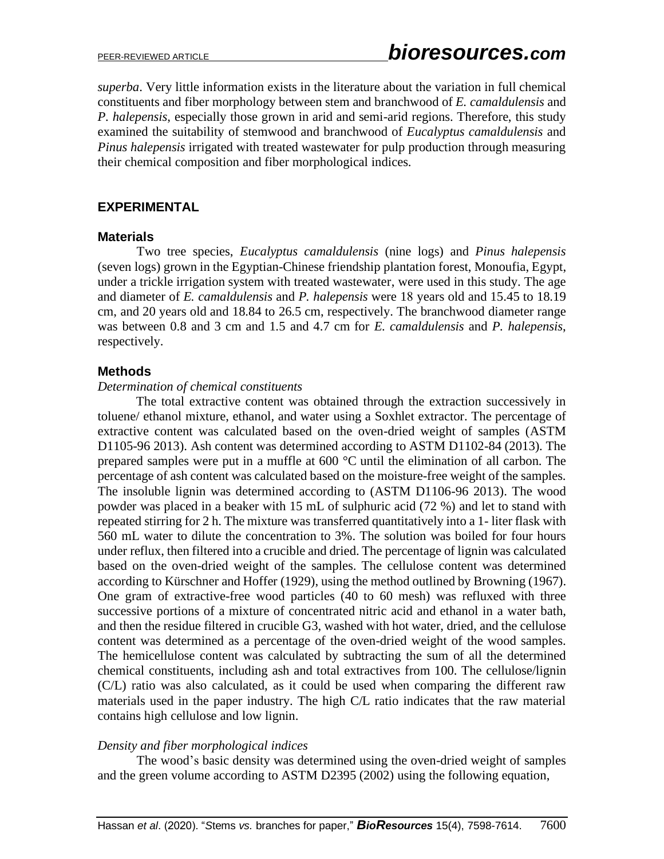*superba*. Very little information exists in the literature about the variation in full chemical constituents and fiber morphology between stem and branchwood of *E. camaldulensis* and *P. halepensis*, especially those grown in arid and semi-arid regions. Therefore, this study examined the suitability of stemwood and branchwood of *Eucalyptus camaldulensis* and *Pinus halepensis* irrigated with treated wastewater for pulp production through measuring their chemical composition and fiber morphological indices.

## **EXPERIMENTAL**

## **Materials**

Two tree species, *Eucalyptus camaldulensis* (nine logs) and *Pinus halepensis* (seven logs) grown in the Egyptian-Chinese friendship plantation forest, Monoufia, Egypt, under a trickle irrigation system with treated wastewater, were used in this study. The age and diameter of *E. camaldulensis* and *P. halepensis* were 18 years old and 15.45 to 18.19 cm, and 20 years old and 18.84 to 26.5 cm, respectively. The branchwood diameter range was between 0.8 and 3 cm and 1.5 and 4.7 cm for *E. camaldulensis* and *P. halepensis*, respectively.

## **Methods**

## *Determination of chemical constituents*

The total extractive content was obtained through the extraction successively in toluene/ ethanol mixture, ethanol, and water using a Soxhlet extractor. The percentage of extractive content was calculated based on the oven-dried weight of samples (ASTM D1105-96 2013). Ash content was determined according to ASTM D1102-84 (2013). The prepared samples were put in a muffle at 600 °C until the elimination of all carbon. The percentage of ash content was calculated based on the moisture-free weight of the samples. The insoluble lignin was determined according to (ASTM D1106-96 2013). The wood powder was placed in a beaker with 15 mL of sulphuric acid (72 %) and let to stand with repeated stirring for 2 h. The mixture was transferred quantitatively into a 1- liter flask with 560 mL water to dilute the concentration to 3%. The solution was boiled for four hours under reflux, then filtered into a crucible and dried. The percentage of lignin was calculated based on the oven-dried weight of the samples. The cellulose content was determined according to Kürschner and Hoffer (1929), using the method outlined by Browning (1967). One gram of extractive-free wood particles (40 to 60 mesh) was refluxed with three successive portions of a mixture of concentrated nitric acid and ethanol in a water bath, and then the residue filtered in crucible G3, washed with hot water, dried, and the cellulose content was determined as a percentage of the oven-dried weight of the wood samples. The hemicellulose content was calculated by subtracting the sum of all the determined chemical constituents, including ash and total extractives from 100. The cellulose/lignin (C/L) ratio was also calculated, as it could be used when comparing the different raw materials used in the paper industry. The high C/L ratio indicates that the raw material contains high cellulose and low lignin.

## *Density and fiber morphological indices*

The wood's basic density was determined using the oven-dried weight of samples and the green volume according to ASTM D2395 (2002) using the following equation,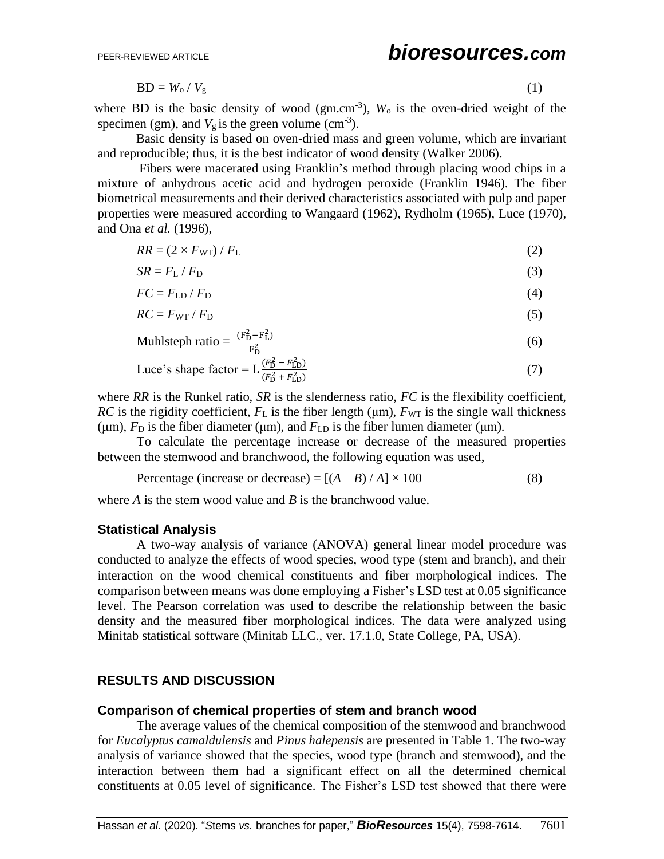$$
BD = W_0 / V_g \tag{1}
$$

where BD is the basic density of wood  $(gm.cm^{-3})$ ,  $W_0$  is the oven-dried weight of the specimen (gm), and  $V_g$  is the green volume (cm<sup>-3</sup>).

Basic density is based on oven-dried mass and green volume, which are invariant and reproducible; thus, it is the best indicator of wood density (Walker 2006).

 Fibers were macerated using Franklin's method through placing wood chips in a mixture of anhydrous acetic acid and hydrogen peroxide (Franklin 1946). The fiber biometrical measurements and their derived characteristics associated with pulp and paper properties were measured according to Wangaard (1962), Rydholm (1965), Luce (1970), and Ona *et al.* (1996),

$$
RR = (2 \times F_{\rm WT}) / F_{\rm L}
$$
 (2)

$$
SR = F_{\rm L} / F_{\rm D} \tag{3}
$$

$$
FC = F_{LD} / F_D \tag{4}
$$

$$
RC = F_{\rm WT} / F_{\rm D} \tag{5}
$$

$$
\text{Muhlsteph ratio} = \frac{(\mathbf{F}_{\mathbf{D}}^2 - \mathbf{F}_{\mathbf{L}}^2)}{\mathbf{F}_{\mathbf{D}}^2} \tag{6}
$$

Luce's shape factor = 
$$
L \frac{(F_D^2 - F_{LD}^2)}{(F_D^2 + F_{LD}^2)}
$$
 (7)

where *RR* is the Runkel ratio, *SR* is the slenderness ratio, *FC* is the flexibility coefficient, *RC* is the rigidity coefficient,  $F<sub>L</sub>$  is the fiber length ( $\mu$ m),  $F<sub>WT</sub>$  is the single wall thickness (μm),  $F_D$  is the fiber diameter (μm), and  $F_{LD}$  is the fiber lumen diameter (μm).

To calculate the percentage increase or decrease of the measured properties between the stemwood and branchwood, the following equation was used,

Percentage (increase or decrease) = 
$$
[(A - B) / A] \times 100
$$
 (8)

where *A* is the stem wood value and *B* is the branchwood value.

#### **Statistical Analysis**

A two-way analysis of variance (ANOVA) general linear model procedure was conducted to analyze the effects of wood species, wood type (stem and branch), and their interaction on the wood chemical constituents and fiber morphological indices. The comparison between means was done employing a Fisher's LSD test at 0.05 significance level. The Pearson correlation was used to describe the relationship between the basic density and the measured fiber morphological indices. The data were analyzed using Minitab statistical software (Minitab LLC., ver. 17.1.0, State College, PA, USA).

## **RESULTS AND DISCUSSION**

#### **Comparison of chemical properties of stem and branch wood**

The average values of the chemical composition of the stemwood and branchwood for *Eucalyptus camaldulensis* and *Pinus halepensis* are presented in Table 1. The two-way analysis of variance showed that the species, wood type (branch and stemwood), and the interaction between them had a significant effect on all the determined chemical constituents at 0.05 level of significance. The Fisher's LSD test showed that there were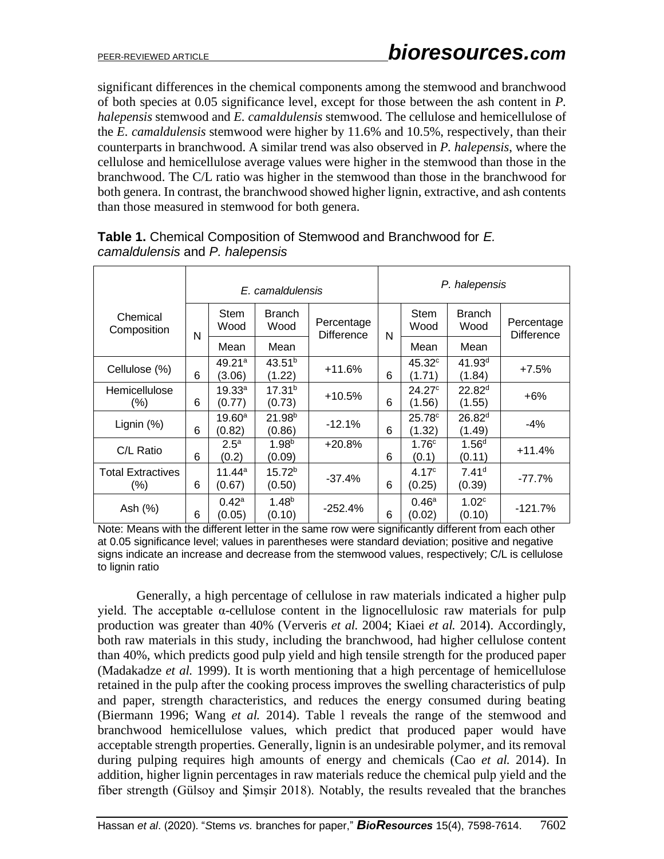significant differences in the chemical components among the stemwood and branchwood of both species at 0.05 significance level, except for those between the ash content in *P. halepensis* stemwood and *E. camaldulensis* stemwood. The cellulose and hemicellulose of the *E. camaldulensis* stemwood were higher by 11.6% and 10.5%, respectively, than their counterparts in branchwood. A similar trend was also observed in *P. halepensis*, where the cellulose and hemicellulose average values were higher in the stemwood than those in the branchwood. The C/L ratio was higher in the stemwood than those in the branchwood for both genera. In contrast, the branchwood showed higher lignin, extractive, and ash contents than those measured in stemwood for both genera.

|                                     | E. camaldulensis |                            |                              |                                 | P. halepensis |                                |                              |                                 |
|-------------------------------------|------------------|----------------------------|------------------------------|---------------------------------|---------------|--------------------------------|------------------------------|---------------------------------|
| Chemical<br>Composition             | N                | Stem<br>Wood               | <b>Branch</b><br>Wood        | Percentage<br><b>Difference</b> | N             | <b>Stem</b><br>Wood            | <b>Branch</b><br>Wood        | Percentage<br><b>Difference</b> |
|                                     |                  | Mean                       | Mean                         |                                 |               | Mean                           | Mean                         |                                 |
| Cellulose (%)                       | 6                | 49.21a<br>(3.06)           | $43.51^{b}$<br>(1.22)        | +11.6%                          | 6             | $45.32$ <sup>c</sup><br>(1.71) | 41.93 <sup>d</sup><br>(1.84) | $+7.5%$                         |
| Hemicellulose<br>$(\%)$             | 6                | 19.33a<br>(0.77)           | 17.31 <sup>b</sup><br>(0.73) | $+10.5%$                        | 6             | 24.27c<br>(1.56)               | 22.82 <sup>d</sup><br>(1.55) | $+6\%$                          |
| Lignin $(%)$                        | 6                | $19.60^{\circ}$<br>(0.82)  | 21.98 <sup>b</sup><br>(0.86) | $-12.1%$                        | 6             | 25.78c<br>(1.32)               | 26.82 <sup>d</sup><br>(1.49) | $-4%$                           |
| C/L Ratio                           | 6                | 2.5 <sup>a</sup><br>(0.2)  | 1.98 <sup>b</sup><br>(0.09)  | $+20.8%$                        | 6             | 1.76 <sup>c</sup><br>(0.1)     | 1.56 <sup>d</sup><br>(0.11)  | $+11.4%$                        |
| <b>Total Extractives</b><br>$(\% )$ | 6                | 11.44 $^{\rm a}$<br>(0.67) | $15.72^{b}$<br>(0.50)        | $-37.4%$                        | 6             | 4.17 <sup>c</sup><br>(0.25)    | 7.41 <sup>d</sup><br>(0.39)  | $-77.7%$                        |
| Ash (%)                             | 6                | $0.42^{\rm a}$<br>(0.05)   | $1.48^{b}$<br>(0.10)         | $-252.4%$                       | 6             | 0.46 <sup>a</sup><br>(0.02)    | 1.02 <sup>c</sup><br>(0.10)  | $-121.7%$                       |

# **Table 1.** Chemical Composition of Stemwood and Branchwood for *E. camaldulensis* and *P. halepensis*

Note: Means with the different letter in the same row were significantly different from each other at 0.05 significance level; values in parentheses were standard deviation; positive and negative signs indicate an increase and decrease from the stemwood values, respectively; C/L is cellulose to lignin ratio

Generally, a high percentage of cellulose in raw materials indicated a higher pulp yield. The acceptable α-cellulose content in the lignocellulosic raw materials for pulp production was greater than 40% (Ververis *et al.* 2004; Kiaei *et al.* 2014). Accordingly, both raw materials in this study, including the branchwood, had higher cellulose content than 40%, which predicts good pulp yield and high tensile strength for the produced paper (Madakadze *et al.* 1999). It is worth mentioning that a high percentage of hemicellulose retained in the pulp after the cooking process improves the swelling characteristics of pulp and paper, strength characteristics, and reduces the energy consumed during beating (Biermann 1996; Wang *et al.* 2014). Table l reveals the range of the stemwood and branchwood hemicellulose values, which predict that produced paper would have acceptable strength properties. Generally, lignin is an undesirable polymer, and its removal during pulping requires high amounts of energy and chemicals (Cao *et al.* 2014). In addition, higher lignin percentages in raw materials reduce the chemical pulp yield and the fiber strength (Gülsoy and Şimşir 2018). Notably, the results revealed that the branches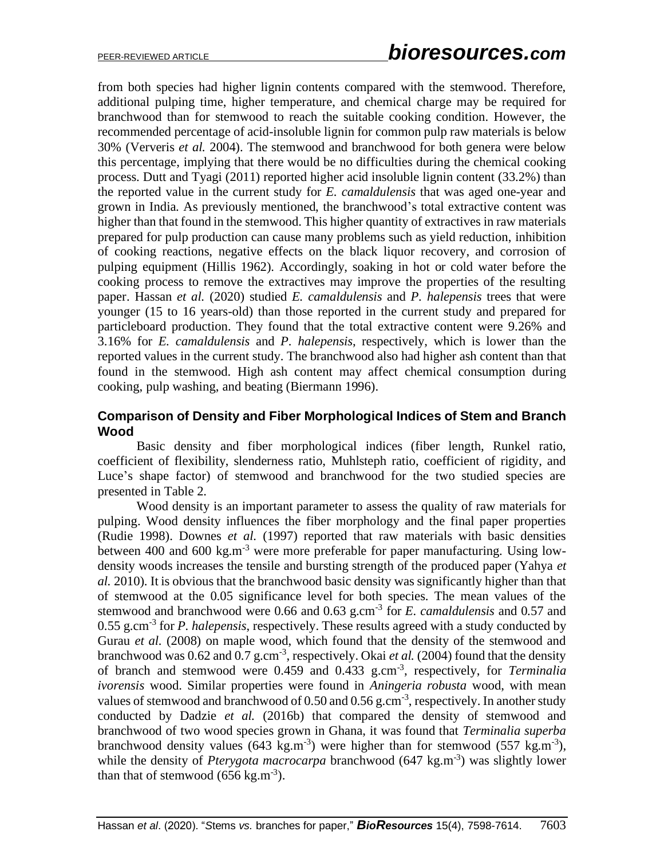from both species had higher lignin contents compared with the stemwood. Therefore, additional pulping time, higher temperature, and chemical charge may be required for branchwood than for stemwood to reach the suitable cooking condition. However, the recommended percentage of acid-insoluble lignin for common pulp raw materials is below 30% (Ververis *et al.* 2004). The stemwood and branchwood for both genera were below this percentage, implying that there would be no difficulties during the chemical cooking process. Dutt and Tyagi (2011) reported higher acid insoluble lignin content (33.2%) than the reported value in the current study for *E. camaldulensis* that was aged one-year and grown in India. As previously mentioned, the branchwood's total extractive content was higher than that found in the stemwood. This higher quantity of extractives in raw materials prepared for pulp production can cause many problems such as yield reduction, inhibition of cooking reactions, negative effects on the black liquor recovery, and corrosion of pulping equipment (Hillis 1962). Accordingly, soaking in hot or cold water before the cooking process to remove the extractives may improve the properties of the resulting paper. Hassan *et al.* (2020) studied *E. camaldulensis* and *P. halepensis* trees that were younger (15 to 16 years-old) than those reported in the current study and prepared for particleboard production. They found that the total extractive content were 9.26% and 3.16% for *E. camaldulensis* and *P. halepensis*, respectively, which is lower than the reported values in the current study. The branchwood also had higher ash content than that found in the stemwood. High ash content may affect chemical consumption during cooking, pulp washing, and beating (Biermann 1996).

## **Comparison of Density and Fiber Morphological Indices of Stem and Branch Wood**

Basic density and fiber morphological indices (fiber length, Runkel ratio, coefficient of flexibility, slenderness ratio, Muhlsteph ratio, coefficient of rigidity, and Luce's shape factor) of stemwood and branchwood for the two studied species are presented in Table 2.

Wood density is an important parameter to assess the quality of raw materials for pulping. Wood density influences the fiber morphology and the final paper properties (Rudie 1998). Downes *et al.* (1997) reported that raw materials with basic densities between 400 and 600 kg.m<sup>-3</sup> were more preferable for paper manufacturing. Using lowdensity woods increases the tensile and bursting strength of the produced paper (Yahya *et al.* 2010). It is obvious that the branchwood basic density was significantly higher than that of stemwood at the 0.05 significance level for both species. The mean values of the stemwood and branchwood were 0.66 and 0.63 g.cm<sup>-3</sup> for *E. camaldulensis* and 0.57 and 0.55 g.cm-3 for *P. halepensis*, respectively. These results agreed with a study conducted by Gurau *et al.* (2008) on maple wood, which found that the density of the stemwood and branchwood was 0.62 and 0.7 g.cm<sup>-3</sup>, respectively. Okai *et al.* (2004) found that the density of branch and stemwood were 0.459 and 0.433 g.cm-3 , respectively, for *Terminalia ivorensis* wood. Similar properties were found in *Aningeria robusta* wood, with mean values of stemwood and branchwood of 0.50 and 0.56 g.cm<sup>-3</sup>, respectively. In another study conducted by Dadzie *et al.* (2016b) that compared the density of stemwood and branchwood of two wood species grown in Ghana, it was found that *Terminalia superba* branchwood density values (643 kg.m<sup>-3</sup>) were higher than for stemwood (557 kg.m<sup>-3</sup>), while the density of *Pterygota macrocarpa* branchwood (647 kg.m<sup>-3</sup>) was slightly lower than that of stemwood  $(656 \text{ kg.m}^3)$ .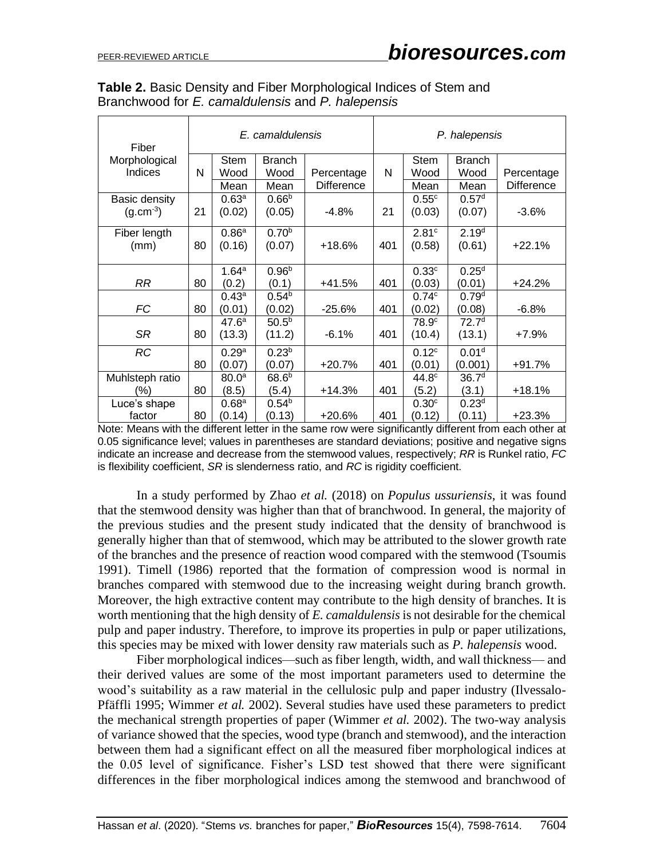| Fiber           | E. camaldulensis |                   |                   |                   | P. halepensis |                   |                   |                   |
|-----------------|------------------|-------------------|-------------------|-------------------|---------------|-------------------|-------------------|-------------------|
| Morphological   |                  | <b>Stem</b>       | <b>Branch</b>     |                   |               | <b>Stem</b>       | <b>Branch</b>     |                   |
| Indices         | N                | Wood              | Wood              | Percentage        | N             | Wood              | Wood              | Percentage        |
|                 |                  | Mean              | Mean              | <b>Difference</b> |               | Mean              | Mean              | <b>Difference</b> |
| Basic density   |                  | 0.63 <sup>a</sup> | 0.66 <sup>b</sup> |                   |               | 0.55c             | 0.57 <sup>d</sup> |                   |
| $(g.cm^{-3})$   | 21               | (0.02)            | (0.05)            | $-4.8%$           | 21            | (0.03)            | (0.07)            | $-3.6%$           |
|                 |                  |                   |                   |                   |               |                   |                   |                   |
| Fiber length    |                  | 0.86 <sup>a</sup> | 0.70 <sup>b</sup> |                   |               | 2.81 <sup>c</sup> | 2.19 <sup>d</sup> |                   |
| (mm)            | 80               | (0.16)            | (0.07)            | +18.6%            | 401           | (0.58)            | (0.61)            | $+22.1%$          |
|                 |                  | 1.64 <sup>a</sup> | 0.96 <sup>b</sup> |                   |               | 0.33c             | 0.25 <sup>d</sup> |                   |
|                 |                  |                   |                   |                   |               |                   |                   |                   |
| <b>RR</b>       | 80               | (0.2)             | (0.1)             | +41.5%            | 401           | (0.03)            | (0.01)            | $+24.2%$          |
|                 |                  | 0.43 <sup>a</sup> | $0.54^{b}$        |                   |               | 0.74c             | 0.79 <sup>d</sup> |                   |
| <b>FC</b>       | 80               | (0.01)            | (0.02)            | $-25.6%$          | 401           | (0.02)            | (0.08)            | $-6.8%$           |
|                 |                  | 47.6 <sup>a</sup> | $50.5^{b}$        |                   |               | 78.9 <sup>c</sup> | 72.7 <sup>d</sup> |                   |
| <b>SR</b>       | 80               | (13.3)            | (11.2)            | $-6.1%$           | 401           | (10.4)            | (13.1)            | $+7.9%$           |
| <b>RC</b>       |                  | 0.29 <sup>a</sup> | 0.23 <sup>b</sup> |                   |               | 0.12 <sup>c</sup> | 0.01 <sup>d</sup> |                   |
|                 | 80               | (0.07)            | (0.07)            | +20.7%            | 401           | (0.01)            | (0.001)           | $+91.7%$          |
| Muhlsteph ratio |                  | 80.0 <sup>a</sup> | $68.6^{b}$        |                   |               | 44.8 <sup>c</sup> | 36.7 <sup>d</sup> |                   |
| (%)             | 80               | (8.5)             | (5.4)             | +14.3%            | 401           | (5.2)             | (3.1)             | $+18.1%$          |
| Luce's shape    |                  | 0.68 <sup>a</sup> | 0.54 <sup>b</sup> |                   |               | 0.30 <sup>c</sup> | 0.23 <sup>d</sup> |                   |
| factor          | 80               | (0.14)            | (0.13)            | +20.6%            | 401           | (0.12)            | (0.11)            | $+23.3%$          |

**Table 2.** Basic Density and Fiber Morphological Indices of Stem and Branchwood for *E. camaldulensis* and *P. halepensis*

Note: Means with the different letter in the same row were significantly different from each other at 0.05 significance level; values in parentheses are standard deviations; positive and negative signs indicate an increase and decrease from the stemwood values, respectively; *RR* is Runkel ratio, *FC* is flexibility coefficient, *SR* is slenderness ratio, and *RC* is rigidity coefficient.

In a study performed by Zhao *et al.* (2018) on *Populus ussuriensis*, it was found that the stemwood density was higher than that of branchwood. In general, the majority of the previous studies and the present study indicated that the density of branchwood is generally higher than that of stemwood, which may be attributed to the slower growth rate of the branches and the presence of reaction wood compared with the stemwood (Tsoumis 1991). Timell (1986) reported that the formation of compression wood is normal in branches compared with stemwood due to the increasing weight during branch growth. Moreover, the high extractive content may contribute to the high density of branches. It is worth mentioning that the high density of *E. camaldulensis* is not desirable for the chemical pulp and paper industry. Therefore, to improve its properties in pulp or paper utilizations, this species may be mixed with lower density raw materials such as *P. halepensis* wood.

Fiber morphological indices—such as fiber length, width, and wall thickness— and their derived values are some of the most important parameters used to determine the wood's suitability as a raw material in the cellulosic pulp and paper industry (Ilvessalo-Pfäffli 1995; Wimmer *et al.* 2002). Several studies have used these parameters to predict the mechanical strength properties of paper (Wimmer *et al.* 2002). The two-way analysis of variance showed that the species, wood type (branch and stemwood), and the interaction between them had a significant effect on all the measured fiber morphological indices at the 0.05 level of significance. Fisher's LSD test showed that there were significant differences in the fiber morphological indices among the stemwood and branchwood of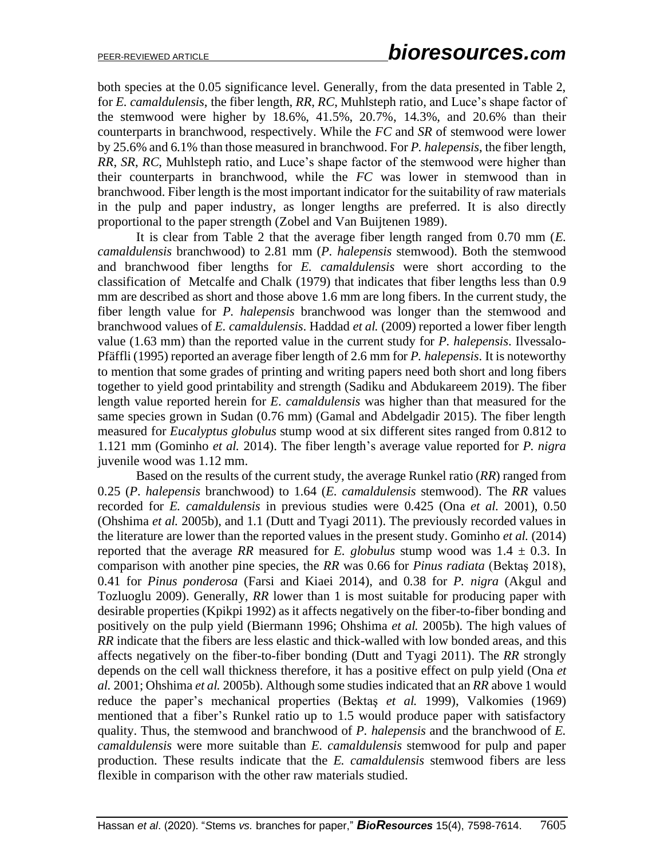both species at the 0.05 significance level. Generally, from the data presented in Table 2, for *E. camaldulensis*, the fiber length, *RR*, *RC*, Muhlsteph ratio, and Luce's shape factor of the stemwood were higher by 18.6%, 41.5%, 20.7%, 14.3%, and 20.6% than their counterparts in branchwood, respectively. While the *FC* and *SR* of stemwood were lower by 25.6% and 6.1% than those measured in branchwood. For *P. halepensis*, the fiber length, *RR*, *SR*, *RC*, Muhlsteph ratio, and Luce's shape factor of the stemwood were higher than their counterparts in branchwood, while the *FC* was lower in stemwood than in branchwood. Fiber length is the most important indicator for the suitability of raw materials in the pulp and paper industry, as longer lengths are preferred. It is also directly proportional to the paper strength (Zobel and Van Buijtenen 1989).

It is clear from Table 2 that the average fiber length ranged from 0.70 mm (*E. camaldulensis* branchwood) to 2.81 mm (*P. halepensis* stemwood). Both the stemwood and branchwood fiber lengths for *E. camaldulensis* were short according to the classification of Metcalfe and Chalk (1979) that indicates that fiber lengths less than 0.9 mm are described as short and those above 1.6 mm are long fibers. In the current study, the fiber length value for *P. halepensis* branchwood was longer than the stemwood and branchwood values of *E. camaldulensis*. Haddad *et al.* (2009) reported a lower fiber length value (1.63 mm) than the reported value in the current study for *P. halepensis*. Ilvessalo-Pfäffli (1995) reported an average fiber length of 2.6 mm for *P. halepensis*. It is noteworthy to mention that some grades of printing and writing papers need both short and long fibers together to yield good printability and strength (Sadiku and Abdukareem 2019). The fiber length value reported herein for *E. camaldulensis* was higher than that measured for the same species grown in Sudan (0.76 mm) (Gamal and Abdelgadir 2015). The fiber length measured for *Eucalyptus globulus* stump wood at six different sites ranged from 0.812 to 1.121 mm (Gominho *et al.* 2014). The fiber length's average value reported for *P. nigra* juvenile wood was 1.12 mm.

Based on the results of the current study, the average Runkel ratio (*RR*) ranged from 0.25 (*P. halepensis* branchwood) to 1.64 (*E. camaldulensis* stemwood). The *RR* values recorded for *E. camaldulensis* in previous studies were 0.425 (Ona *et al.* 2001), 0.50 (Ohshima *et al.* 2005b), and 1.1 (Dutt and Tyagi 2011). The previously recorded values in the literature are lower than the reported values in the present study. Gominho *et al.* (2014) reported that the average *RR* measured for *E. globulus* stump wood was  $1.4 \pm 0.3$ . In comparison with another pine species, the *RR* was 0.66 for *Pinus radiata* (Bektaş 2018), 0.41 for *Pinus ponderosa* (Farsi and Kiaei 2014), and 0.38 for *P. nigra* (Akgul and Tozluoglu 2009). Generally, *RR* lower than 1 is most suitable for producing paper with desirable properties (Kpikpi 1992) as it affects negatively on the fiber-to-fiber bonding and positively on the pulp yield (Biermann 1996; Ohshima *et al.* 2005b). The high values of *RR* indicate that the fibers are less elastic and thick-walled with low bonded areas, and this affects negatively on the fiber-to-fiber bonding (Dutt and Tyagi 2011). The *RR* strongly depends on the cell wall thickness therefore, it has a positive effect on pulp yield (Ona *et al.* 2001; Ohshima *et al.* 2005b). Although some studies indicated that an *RR* above 1 would reduce the paper's mechanical properties (Bektaş *et al.* 1999), Valkomies (1969) mentioned that a fiber's Runkel ratio up to 1.5 would produce paper with satisfactory quality. Thus, the stemwood and branchwood of *P. halepensis* and the branchwood of *E. camaldulensis* were more suitable than *E. camaldulensis* stemwood for pulp and paper production. These results indicate that the *E. camaldulensis* stemwood fibers are less flexible in comparison with the other raw materials studied.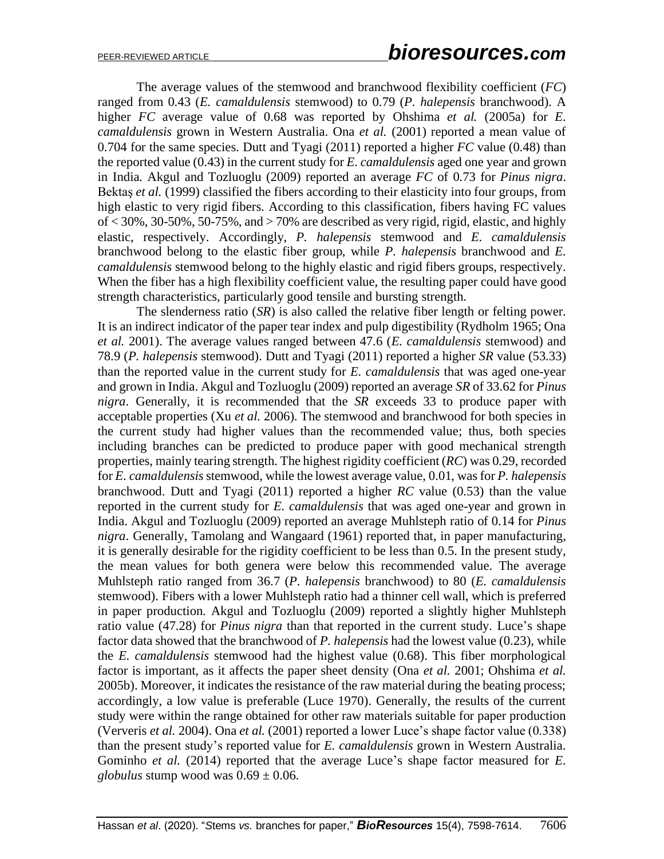The average values of the stemwood and branchwood flexibility coefficient (*FC*) ranged from 0.43 (*E. camaldulensis* stemwood) to 0.79 (*P. halepensis* branchwood). A higher *FC* average value of 0.68 was reported by Ohshima *et al.* (2005a) for *E. camaldulensis* grown in Western Australia. Ona *et al.* (2001) reported a mean value of 0.704 for the same species. Dutt and Tyagi (2011) reported a higher *FC* value (0.48) than the reported value (0.43) in the current study for *E. camaldulensis* aged one year and grown in India. Akgul and Tozluoglu (2009) reported an average *FC* of 0.73 for *Pinus nigra*. Bektaş *et al.* (1999) classified the fibers according to their elasticity into four groups, from high elastic to very rigid fibers. According to this classification, fibers having FC values of  $\langle 30\%, 30-50\%, 50-75\%, \text{ and } \rangle$  70% are described as very rigid, rigid, elastic, and highly elastic, respectively. Accordingly, *P. halepensis* stemwood and *E. camaldulensis* branchwood belong to the elastic fiber group, while *P. halepensis* branchwood and *E. camaldulensis* stemwood belong to the highly elastic and rigid fibers groups, respectively. When the fiber has a high flexibility coefficient value, the resulting paper could have good strength characteristics, particularly good tensile and bursting strength.

The slenderness ratio (*SR*) is also called the relative fiber length or felting power. It is an indirect indicator of the paper tear index and pulp digestibility (Rydholm 1965; Ona *et al.* 2001). The average values ranged between 47.6 (*E. camaldulensis* stemwood) and 78.9 (*P. halepensis* stemwood). Dutt and Tyagi (2011) reported a higher *SR* value (53.33) than the reported value in the current study for *E. camaldulensis* that was aged one-year and grown in India. Akgul and Tozluoglu (2009) reported an average *SR* of 33.62 for *Pinus nigra*. Generally, it is recommended that the *SR* exceeds 33 to produce paper with acceptable properties (Xu *et al.* 2006). The stemwood and branchwood for both species in the current study had higher values than the recommended value; thus, both species including branches can be predicted to produce paper with good mechanical strength properties, mainly tearing strength. The highest rigidity coefficient (*RC*) was 0.29, recorded for *E. camaldulensis* stemwood, while the lowest average value, 0.01, was for *P. halepensis* branchwood. Dutt and Tyagi (2011) reported a higher *RC* value (0.53) than the value reported in the current study for *E. camaldulensis* that was aged one-year and grown in India. Akgul and Tozluoglu (2009) reported an average Muhlsteph ratio of 0.14 for *Pinus nigra*. Generally, Tamolang and Wangaard (1961) reported that, in paper manufacturing, it is generally desirable for the rigidity coefficient to be less than 0.5. In the present study, the mean values for both genera were below this recommended value. The average Muhlsteph ratio ranged from 36.7 (*P. halepensis* branchwood) to 80 (*E. camaldulensis* stemwood). Fibers with a lower Muhlsteph ratio had a thinner cell wall, which is preferred in paper production. Akgul and Tozluoglu (2009) reported a slightly higher Muhlsteph ratio value (47.28) for *Pinus nigra* than that reported in the current study. Luce's shape factor data showed that the branchwood of *P. halepensis* had the lowest value (0.23), while the *E. camaldulensis* stemwood had the highest value (0.68). This fiber morphological factor is important, as it affects the paper sheet density (Ona *et al.* 2001; Ohshima *et al.* 2005b). Moreover, it indicates the resistance of the raw material during the beating process; accordingly, a low value is preferable (Luce 1970). Generally, the results of the current study were within the range obtained for other raw materials suitable for paper production (Ververis *et al.* 2004). Ona *et al.* (2001) reported a lower Luce's shape factor value (0.338) than the present study's reported value for *E. camaldulensis* grown in Western Australia. Gominho *et al.* (2014) reported that the average Luce's shape factor measured for *E. globulus* stump wood was  $0.69 \pm 0.06$ .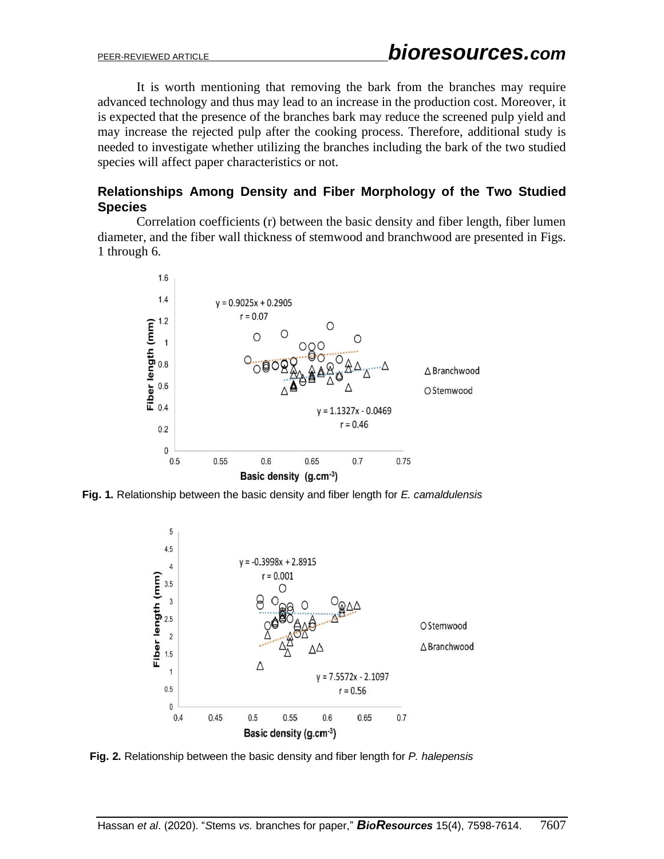It is worth mentioning that removing the bark from the branches may require advanced technology and thus may lead to an increase in the production cost. Moreover, it is expected that the presence of the branches bark may reduce the screened pulp yield and may increase the rejected pulp after the cooking process. Therefore, additional study is needed to investigate whether utilizing the branches including the bark of the two studied species will affect paper characteristics or not.

## **Relationships Among Density and Fiber Morphology of the Two Studied Species**

Correlation coefficients (r) between the basic density and fiber length, fiber lumen diameter, and the fiber wall thickness of stemwood and branchwood are presented in Figs. 1 through 6.



**Fig. 1.** Relationship between the basic density and fiber length for *E. camaldulensis* 



**Fig. 2.** Relationship between the basic density and fiber length for *P. halepensis*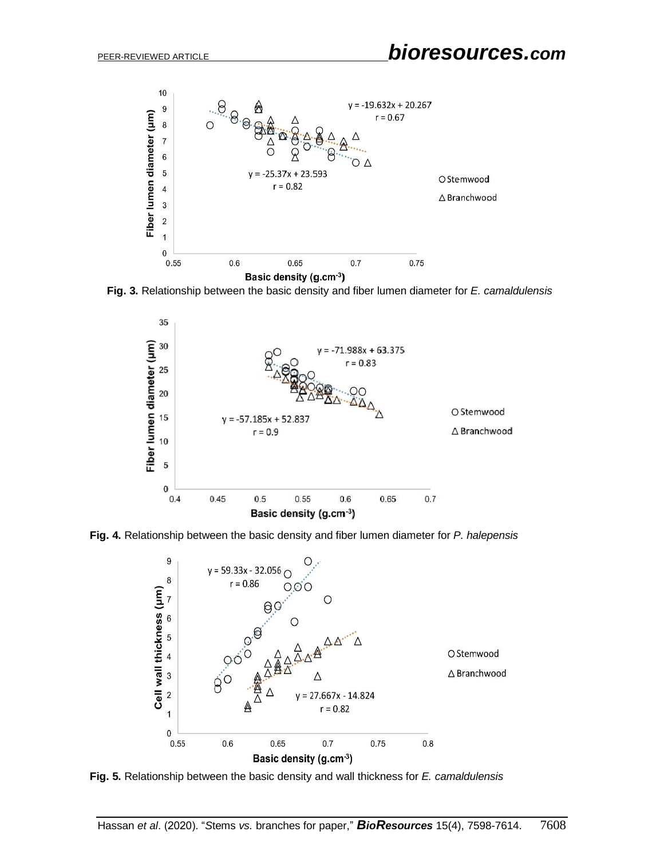

**Fig. 3.** Relationship between the basic density and fiber lumen diameter for *E. camaldulensis*







**Fig. 5.** Relationship between the basic density and wall thickness for *E. camaldulensis*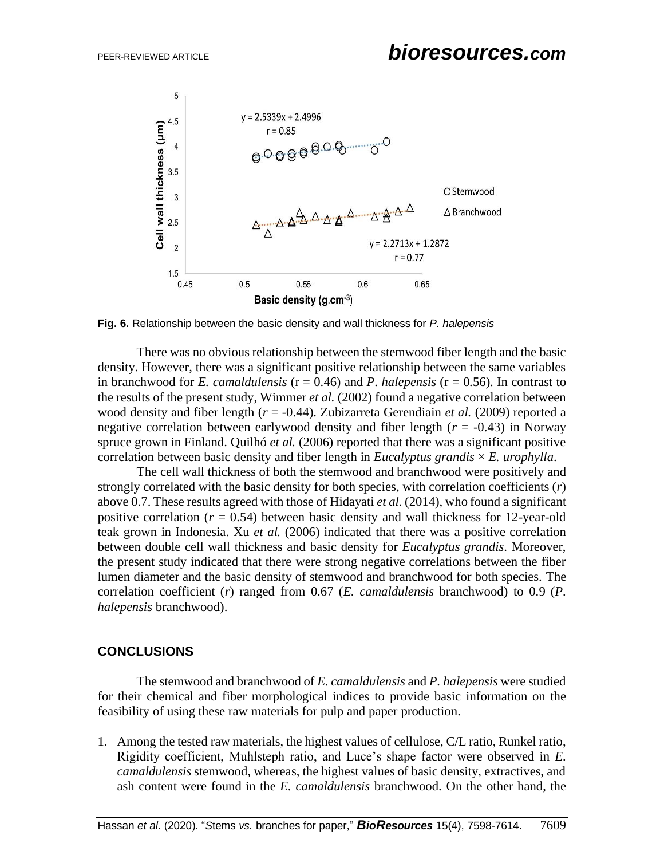

**Fig. 6.** Relationship between the basic density and wall thickness for *P. halepensis*

There was no obvious relationship between the stemwood fiber length and the basic density. However, there was a significant positive relationship between the same variables in branchwood for *E. camaldulensis* ( $r = 0.46$ ) and *P. halepensis* ( $r = 0.56$ ). In contrast to the results of the present study, Wimmer *et al.* (2002) found a negative correlation between wood density and fiber length (*r* = -0.44). Zubizarreta Gerendiain *et al.* (2009) reported a negative correlation between earlywood density and fiber length  $(r = -0.43)$  in Norway spruce grown in Finland. Quilhó *et al.* (2006) reported that there was a significant positive correlation between basic density and fiber length in *Eucalyptus grandis* × *E. urophylla*.

The cell wall thickness of both the stemwood and branchwood were positively and strongly correlated with the basic density for both species, with correlation coefficients (*r*) above 0.7. These results agreed with those of Hidayati *et al.* (2014), who found a significant positive correlation  $(r = 0.54)$  between basic density and wall thickness for 12-year-old teak grown in Indonesia. Xu *et al.* (2006) indicated that there was a positive correlation between double cell wall thickness and basic density for *Eucalyptus grandis*. Moreover, the present study indicated that there were strong negative correlations between the fiber lumen diameter and the basic density of stemwood and branchwood for both species. The correlation coefficient (*r*) ranged from 0.67 (*E. camaldulensis* branchwood) to 0.9 (*P. halepensis* branchwood).

#### **CONCLUSIONS**

The stemwood and branchwood of *E. camaldulensis* and *P. halepensis* were studied for their chemical and fiber morphological indices to provide basic information on the feasibility of using these raw materials for pulp and paper production.

1. Among the tested raw materials, the highest values of cellulose, C/L ratio, Runkel ratio, Rigidity coefficient, Muhlsteph ratio, and Luce's shape factor were observed in *E. camaldulensis* stemwood, whereas, the highest values of basic density, extractives, and ash content were found in the *E. camaldulensis* branchwood. On the other hand, the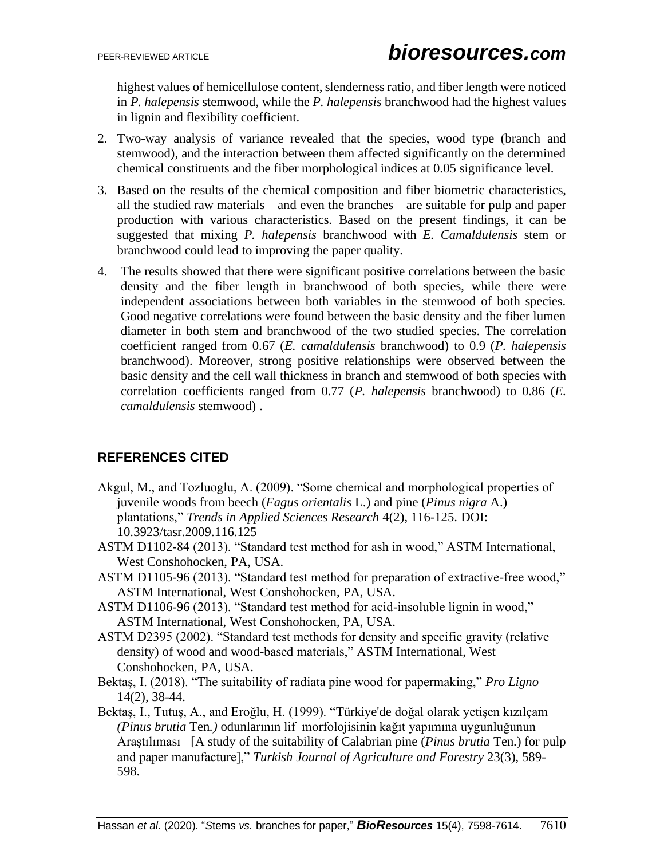highest values of hemicellulose content, slenderness ratio, and fiber length were noticed in *P. halepensis* stemwood, while the *P. halepensis* branchwood had the highest values in lignin and flexibility coefficient.

- 2. Two-way analysis of variance revealed that the species, wood type (branch and stemwood), and the interaction between them affected significantly on the determined chemical constituents and the fiber morphological indices at 0.05 significance level.
- 3. Based on the results of the chemical composition and fiber biometric characteristics, all the studied raw materials—and even the branches—are suitable for pulp and paper production with various characteristics. Based on the present findings, it can be suggested that mixing *P. halepensis* branchwood with *E. Camaldulensis* stem or branchwood could lead to improving the paper quality.
- 4. The results showed that there were significant positive correlations between the basic density and the fiber length in branchwood of both species, while there were independent associations between both variables in the stemwood of both species. Good negative correlations were found between the basic density and the fiber lumen diameter in both stem and branchwood of the two studied species. The correlation coefficient ranged from 0.67 (*E. camaldulensis* branchwood) to 0.9 (*P. halepensis* branchwood). Moreover, strong positive relationships were observed between the basic density and the cell wall thickness in branch and stemwood of both species with correlation coefficients ranged from 0.77 (*P. halepensis* branchwood) to 0.86 (*E. camaldulensis* stemwood) .

# **REFERENCES CITED**

- Akgul, M., and Tozluoglu, A. (2009). "Some chemical and morphological properties of juvenile woods from beech (*Fagus orientalis* L.) and pine (*Pinus nigra* A.) plantations," *Trends in Applied Sciences Research* 4(2), 116-125. DOI: [10.3923/tasr.2009.116.125](https://www.researchgate.net/deref/http%3A%2F%2Fdx.doi.org%2F10.3923%2Ftasr.2009.116.125)
- ASTM D1102-84 (2013). "Standard test method for ash in wood," ASTM International, West Conshohocken, PA, USA.
- ASTM D1105-96 (2013). "Standard test method for preparation of extractive-free wood," ASTM International, West Conshohocken, PA, USA.
- ASTM D1106-96 (2013). "Standard test method for acid-insoluble lignin in wood," ASTM International, West Conshohocken, PA, USA.
- ASTM D2395 (2002). "Standard test methods for density and specific gravity (relative density) of wood and wood-based materials," ASTM International, West Conshohocken, PA, USA.
- Bektaş, I. (2018). "The suitability of radiata pine wood for papermaking," *Pro Ligno* 14(2), 38-44.
- Bektaş, I., Tutuş, A., and Eroğlu, H. (1999). "Türkiye'de doğal olarak yetişen kızılçam *(Pinus brutia* Ten*.)* odunlarının lifmorfolojisinin kağıt yapımına uygunluğunun Araştılıması [A study of the suitability of Calabrian pine (*Pinus brutia* Ten.) for pulp and paper manufacture]," *Turkish Journal of Agriculture and Forestry* 23(3), 589- 598.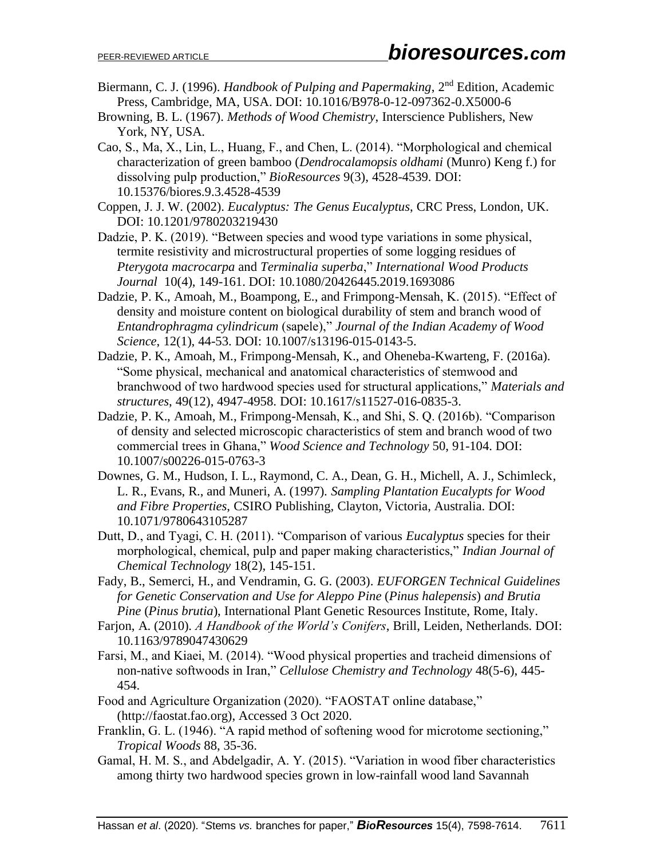- Biermann, C. J. (1996). *Handbook of Pulping and Papermaking*, 2nd Edition, Academic Press, Cambridge, MA, USA. DOI: [10.1016/B978-0-12-097362-0.X5000-6](https://doi.org/10.1016/B978-0-12-097362-0.X5000-6)
- Browning, B. L. (1967). *Methods of Wood Chemistry*, Interscience Publishers, New York, NY, USA.
- Cao, S., Ma, X., Lin, L., Huang, F., and Chen, L. (2014). "Morphological and chemical characterization of green bamboo (*Dendrocalamopsis oldhami* (Munro) Keng f.) for dissolving pulp production," *BioResources* 9(3), 4528-4539. DOI: 10.15376/biores.9.3.4528-4539
- Coppen, J. J. W. (2002). *Eucalyptus: The Genus Eucalyptus*, CRC Press, London, UK. DOI: 10.1201/9780203219430
- Dadzie, P. K. (2019). "Between species and wood type variations in some physical, termite resistivity and microstructural properties of some logging residues of *Pterygota macrocarpa* and *Terminalia superba*," *International Wood Products Journal* 10(4), 149-161. DOI: [10.1080/20426445.2019.1693086](https://doi.org/10.1080/20426445.2019.1693086)
- Dadzie, P. K., Amoah, M., Boampong, E., and Frimpong-Mensah, K. (2015). "Effect of density and moisture content on biological durability of stem and branch wood of *Entandrophragma cylindricum* (sapele)," *Journal of the Indian Academy of Wood Science*, 12(1), 44-53. DOI: 10.1007/s13196-015-0143-5.
- Dadzie, P. K., Amoah, M., Frimpong-Mensah, K., and Oheneba-Kwarteng, F. (2016a). "Some physical, mechanical and anatomical characteristics of stemwood and branchwood of two hardwood species used for structural applications," *Materials and structures*, 49(12), 4947-4958. DOI: [10.1617/s11527-016-0835-3.](https://www.researchgate.net/deref/http%3A%2F%2Fdx.doi.org%2F10.1617%2Fs11527-016-0835-3)
- Dadzie, P. K., Amoah, M., Frimpong-Mensah, K., and Shi, S. Q. (2016b). "Comparison of density and selected microscopic characteristics of stem and branch wood of two commercial trees in Ghana," *Wood Science and Technology* 50, 91-104. DOI: 10.1007/s00226-015-0763-3
- Downes, G. M., Hudson, I. L., Raymond, C. A., Dean, G. H., Michell, A. J., Schimleck, L. R., Evans, R., and Muneri, A. (1997). *Sampling Plantation Eucalypts for Wood and Fibre Properties*, CSIRO Publishing, Clayton, Victoria, Australia. DOI: 10.1071/9780643105287
- Dutt, D., and Tyagi, C. H. (2011). "Comparison of various *Eucalyptus* species for their morphological, chemical, pulp and paper making characteristics," *Indian Journal of Chemical Technology* 18(2), 145-151.
- Fady, B., Semerci, H., and Vendramin, G. G. (2003). *EUFORGEN Technical Guidelines for Genetic Conservation and Use for Aleppo Pine* (*Pinus halepensis*) *and Brutia Pine* (*Pinus brutia*), International Plant Genetic Resources Institute, Rome, Italy.
- Farjon, A. (2010). *A Handbook of the World's Conifers*, Brill, Leiden, Netherlands. DOI: 10.1163/9789047430629
- Farsi, M., and Kiaei, M. (2014). "Wood physical properties and tracheid dimensions of non-native softwoods in Iran," *Cellulose Chemistry and Technology* 48(5-6), 445- 454.
- Food and Agriculture Organization (2020). "FAOSTAT online database," (http://faostat.fao.org), Accessed 3 Oct 2020.
- Franklin, G. L. (1946). "A rapid method of softening wood for microtome sectioning," *Tropical Woods* 88, 35-36.
- Gamal, H. M. S., and Abdelgadir, A. Y. (2015). "Variation in wood fiber characteristics among thirty two hardwood species grown in low-rainfall wood land Savannah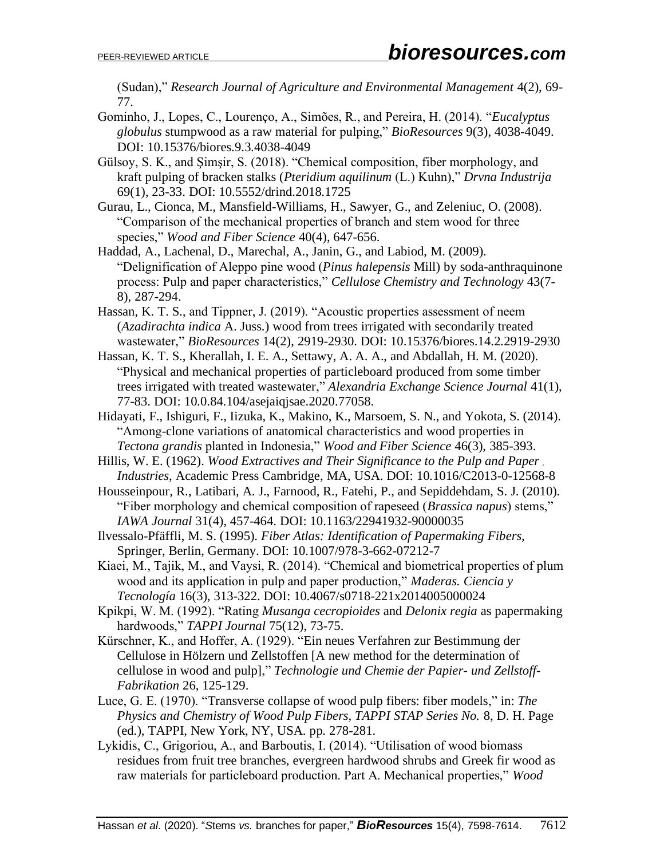(Sudan)," *Research Journal of Agriculture and Environmental Management* 4(2), 69- 77.

- Gominho, J., Lopes, C., Lourenço, A., Simões, R., and Pereira, H. (2014). "*Eucalyptus globulus* stumpwood as a raw material for pulping," *BioResources* 9(3), 4038-4049. DOI: 10.15376/biores.9.3.4038-4049
- Gülsoy, S. K., and Şimşir, S. (2018). "Chemical composition, fiber morphology, and kraft pulping of bracken stalks (*Pteridium aquilinum* (L.) Kuhn)," *Drvna Industrija* 69(1), 23-33. DOI: 10.5552/drind.2018.1725
- Gurau, L., Cionca, M., Mansfield-Williams, H., Sawyer, G., and Zeleniuc, O. (2008). "Comparison of the mechanical properties of branch and stem wood for three species," *Wood and Fiber Science* 40(4), 647-656.
- Haddad, A., Lachenal, D., Marechal, A., Janin, G., and Labiod, M. (2009). "Delignification of Aleppo pine wood (*Pinus halepensis* Mill) by soda-anthraquinone process: Pulp and paper characteristics," *Cellulose Chemistry and Technology* 43(7- 8), 287-294.
- Hassan, K. T. S., and Tippner, J. (2019). "Acoustic properties assessment of neem (*Azadirachta indica* A. Juss.) wood from trees irrigated with secondarily treated wastewater," *BioResources* 14(2), 2919-2930. DOI: 10.15376/biores.14.2.2919-2930
- Hassan, K. T. S., Kherallah, I. E. A., Settawy, A. A. A., and Abdallah, H. M. (2020). "Physical and mechanical properties of particleboard produced from some timber trees irrigated with treated wastewater," *Alexandria Exchange Science Journal* 41(1), 77-83. DOI: 10.0.84.104/asejaiqjsae.2020.77058.
- Hidayati, F., Ishiguri, F., Iizuka, K., Makino, K., Marsoem, S. N., and Yokota, S. (2014). "Among-clone variations of anatomical characteristics and wood properties in *Tectona grandis* planted in Indonesia," *Wood and Fiber Science* 46(3), 385-393.
- Hillis, W. E. (1962). *Wood Extractives and Their Significance to the Pulp and Paper Industries*, Academic Press Cambridge, MA, USA. DOI: 10.1016/C2013-0-12568-8
- Housseinpour, R., Latibari, A. J., Farnood, R., Fatehi, P., and Sepiddehdam, S. J. (2010). "Fiber morphology and chemical composition of rapeseed (*Brassica napus*) stems," *IAWA Journal* 31(4), 457-464. DOI: 10.1163/22941932-90000035
- Ilvessalo-Pfäffli, M. S. (1995). *Fiber Atlas: Identification of Papermaking Fibers*, Springer, Berlin, Germany. DOI: 10.1007/978-3-662-07212-7
- Kiaei, M., Tajik, M., and Vaysi, R. (2014). "Chemical and biometrical properties of plum wood and its application in pulp and paper production," *Maderas. Ciencia y Tecnología* 16(3), 313-322. DOI: 10.4067/s0718-221x2014005000024
- Kpikpi, W. M. (1992). "Rating *Musanga cecropioides* and *Delonix regia* as papermaking hardwoods," *TAPPI Journal* 75(12), 73-75.
- Kürschner, K., and Hoffer, A. (1929). "Ein neues Verfahren zur Bestimmung der Cellulose in Hölzern und Zellstoffen [A new method for the determination of cellulose in wood and pulp]," *Technologie und Chemie der Papier- und Zellstoff-Fabrikation* 26, 125-129.
- Luce, G. E. (1970). "Transverse collapse of wood pulp fibers: fiber models," in: *The Physics and Chemistry of Wood Pulp Fibers, TAPPI STAP Series No.* 8, D. H. Page (ed.), TAPPI, New York, NY, USA. pp. 278-281.
- Lykidis, C., Grigoriou, A., and Barboutis, I. (2014). "Utilisation of wood biomass residues from fruit tree branches, evergreen hardwood shrubs and Greek fir wood as raw materials for particleboard production. Part A. Mechanical properties," *Wood*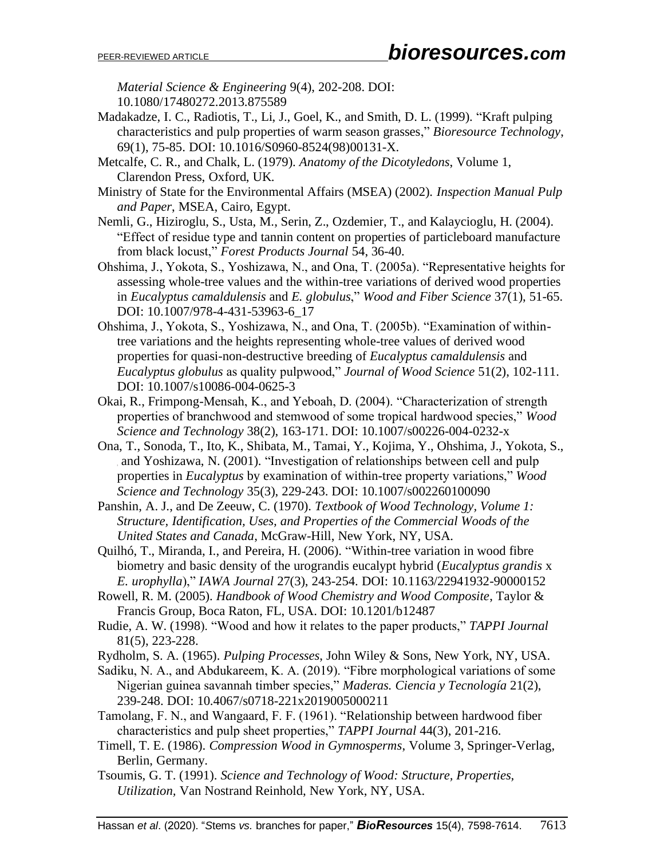*Material Science & Engineering* 9(4), 202-208. DOI: 10.1080/17480272.2013.875589

- Madakadze, I. C., Radiotis, T., Li, J., Goel, K., and Smith, D. L. (1999). "Kraft pulping characteristics and pulp properties of warm season grasses," *Bioresource Technology*, 69(1), 75-85. DOI: 10.1016/S0960-8524(98)00131-X.
- Metcalfe, C. R., and Chalk, L. (1979). *Anatomy of the Dicotyledons*, Volume 1, Clarendon Press, Oxford, UK.
- Ministry of State for the Environmental Affairs (MSEA) (2002). *Inspection Manual Pulp and Paper*, MSEA, Cairo, Egypt.
- Nemli, G., Hiziroglu, S., Usta, M., Serin, Z., Ozdemier, T., and Kalaycioglu, H. (2004). "Effect of residue type and tannin content on properties of particleboard manufacture from black locust," *Forest Products Journal* 54, 36-40.
- Ohshima, J., Yokota, S., Yoshizawa, N., and Ona, T. (2005a). "Representative heights for assessing whole-tree values and the within-tree variations of derived wood properties in *Eucalyptus camaldulensis* and *E. globulus*," *Wood and Fiber Science* 37(1), 51-65. DOI: 10.1007/978-4-431-53963-6\_17
- Ohshima, J., Yokota, S., Yoshizawa, N., and Ona, T. (2005b). "Examination of withintree variations and the heights representing whole-tree values of derived wood properties for quasi-non-destructive breeding of *Eucalyptus camaldulensis* and *Eucalyptus globulus* as quality pulpwood," *Journal of Wood Science* 51(2), 102-111. DOI: 10.1007/s10086-004-0625-3
- Okai, R., Frimpong-Mensah, K., and Yeboah, D. (2004). "Characterization of strength properties of branchwood and stemwood of some tropical hardwood species," *Wood Science and Technology* 38(2), 163-171. DOI: 10.1007/s00226-004-0232-x
- Ona, T., Sonoda, T., Ito, K., Shibata, M., Tamai, Y., Kojima, Y., Ohshima, J., Yokota, S., and Yoshizawa, N. (2001). "Investigation of relationships between cell and pulp properties in *Eucalyptus* by examination of within-tree property variations," *Wood Science and Technology* 35(3), 229-243. DOI: 10.1007/s002260100090
- Panshin, A. J., and De Zeeuw, C. (1970). *Textbook of Wood Technology, Volume 1: Structure, Identification, Uses, and Properties of the Commercial Woods of the United States and Canada*, McGraw-Hill, New York, NY, USA.
- Quilhó, T., Miranda, I., and Pereira, H. (2006). "Within-tree variation in wood fibre biometry and basic density of the urograndis eucalypt hybrid (*Eucalyptus grandis* x *E. urophylla*)," *IAWA Journal* 27(3), 243-254. DOI: 10.1163/22941932-90000152
- Rowell, R. M. (2005). *Handbook of Wood Chemistry and Wood Composite*, Taylor & Francis Group, Boca Raton, FL, USA. DOI: 10.1201/b12487
- Rudie, A. W. (1998). "Wood and how it relates to the paper products," *TAPPI Journal* 81(5), 223-228.
- Rydholm, S. A. (1965). *Pulping Processes*, John Wiley & Sons, New York, NY, USA.
- Sadiku, N. A., and Abdukareem, K. A. (2019). "Fibre morphological variations of some Nigerian guinea savannah timber species," *Maderas. Ciencia y Tecnología* 21(2), 239-248. DOI: 10.4067/s0718-221x2019005000211
- Tamolang, F. N., and Wangaard, F. F. (1961). "Relationship between hardwood fiber characteristics and pulp sheet properties," *TAPPI Journal* 44(3), 201-216.
- Timell, T. E. (1986). *Compression Wood in Gymnosperms*, Volume 3, Springer-Verlag, Berlin, Germany.
- Tsoumis, G. T. (1991). *Science and Technology of Wood: Structure, Properties, Utilization,* Van Nostrand Reinhold, New York, NY, USA.